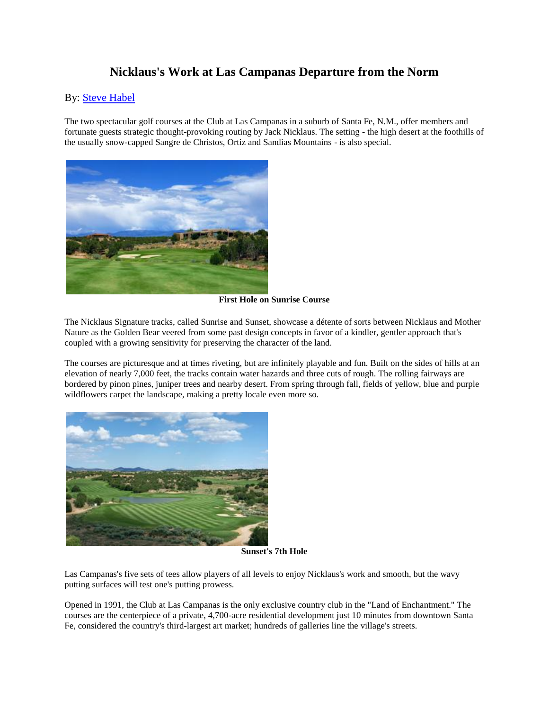## **Nicklaus's Work at Las Campanas Departure from the Norm**

## By: **Steve Habel**

The two spectacular golf courses at the Club at Las Campanas in a suburb of Santa Fe, N.M., offer members and fortunate guests strategic thought-provoking routing by Jack Nicklaus. The setting - the high desert at the foothills of the usually snow-capped Sangre de Christos, Ortiz and Sandias Mountains - is also special.



**First Hole on Sunrise Course**

The Nicklaus Signature tracks, called Sunrise and Sunset, showcase a détente of sorts between Nicklaus and Mother Nature as the Golden Bear veered from some past design concepts in favor of a kindler, gentler approach that's coupled with a growing sensitivity for preserving the character of the land.

The courses are picturesque and at times riveting, but are infinitely playable and fun. Built on the sides of hills at an elevation of nearly 7,000 feet, the tracks contain water hazards and three cuts of rough. The rolling fairways are bordered by pinon pines, juniper trees and nearby desert. From spring through fall, fields of yellow, blue and purple wildflowers carpet the landscape, making a pretty locale even more so.



**Sunset's 7th Hole**

Las Campanas's five sets of tees allow players of all levels to enjoy Nicklaus's work and smooth, but the wavy putting surfaces will test one's putting prowess.

Opened in 1991, the Club at Las Campanas is the only exclusive country club in the "Land of Enchantment." The courses are the centerpiece of a private, 4,700-acre residential development just 10 minutes from downtown Santa Fe, considered the country's third-largest art market; hundreds of galleries line the village's streets.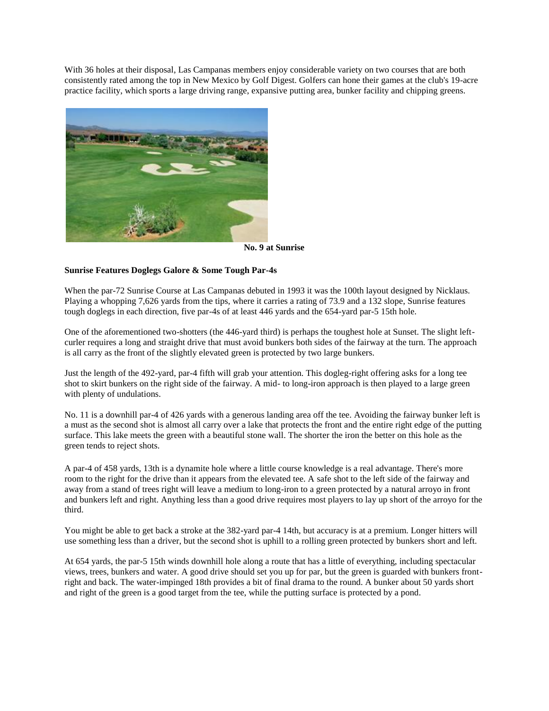With 36 holes at their disposal, Las Campanas members enjoy considerable variety on two courses that are both consistently rated among the top in New Mexico by Golf Digest. Golfers can hone their games at the club's 19-acre practice facility, which sports a large driving range, expansive putting area, bunker facility and chipping greens.



**No. 9 at Sunrise**

## **Sunrise Features Doglegs Galore & Some Tough Par-4s**

When the par-72 Sunrise Course at Las Campanas debuted in 1993 it was the 100th layout designed by Nicklaus. Playing a whopping 7,626 yards from the tips, where it carries a rating of 73.9 and a 132 slope, Sunrise features tough doglegs in each direction, five par-4s of at least 446 yards and the 654-yard par-5 15th hole.

One of the aforementioned two-shotters (the 446-yard third) is perhaps the toughest hole at Sunset. The slight leftcurler requires a long and straight drive that must avoid bunkers both sides of the fairway at the turn. The approach is all carry as the front of the slightly elevated green is protected by two large bunkers.

Just the length of the 492-yard, par-4 fifth will grab your attention. This dogleg-right offering asks for a long tee shot to skirt bunkers on the right side of the fairway. A mid- to long-iron approach is then played to a large green with plenty of undulations.

No. 11 is a downhill par-4 of 426 yards with a generous landing area off the tee. Avoiding the fairway bunker left is a must as the second shot is almost all carry over a lake that protects the front and the entire right edge of the putting surface. This lake meets the green with a beautiful stone wall. The shorter the iron the better on this hole as the green tends to reject shots.

A par-4 of 458 yards, 13th is a dynamite hole where a little course knowledge is a real advantage. There's more room to the right for the drive than it appears from the elevated tee. A safe shot to the left side of the fairway and away from a stand of trees right will leave a medium to long-iron to a green protected by a natural arroyo in front and bunkers left and right. Anything less than a good drive requires most players to lay up short of the arroyo for the third.

You might be able to get back a stroke at the 382-yard par-4 14th, but accuracy is at a premium. Longer hitters will use something less than a driver, but the second shot is uphill to a rolling green protected by bunkers short and left.

At 654 yards, the par-5 15th winds downhill hole along a route that has a little of everything, including spectacular views, trees, bunkers and water. A good drive should set you up for par, but the green is guarded with bunkers frontright and back. The water-impinged 18th provides a bit of final drama to the round. A bunker about 50 yards short and right of the green is a good target from the tee, while the putting surface is protected by a pond.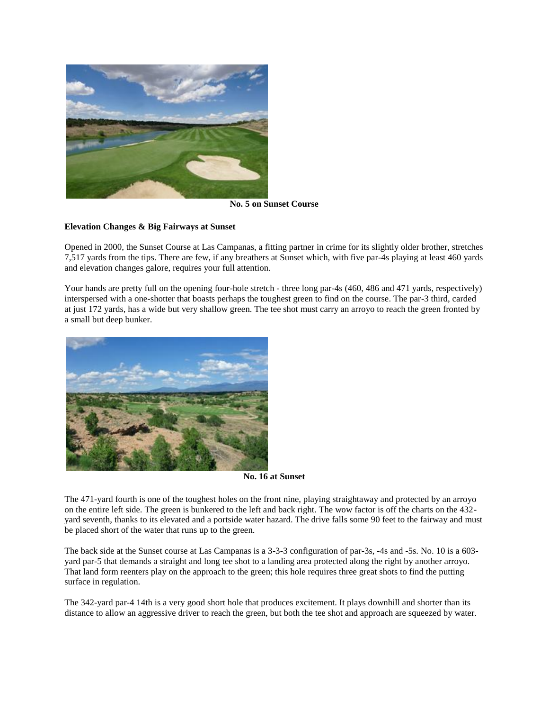

**No. 5 on Sunset Course**

## **Elevation Changes & Big Fairways at Sunset**

Opened in 2000, the Sunset Course at Las Campanas, a fitting partner in crime for its slightly older brother, stretches 7,517 yards from the tips. There are few, if any breathers at Sunset which, with five par-4s playing at least 460 yards and elevation changes galore, requires your full attention.

Your hands are pretty full on the opening four-hole stretch - three long par-4s (460, 486 and 471 yards, respectively) interspersed with a one-shotter that boasts perhaps the toughest green to find on the course. The par-3 third, carded at just 172 yards, has a wide but very shallow green. The tee shot must carry an arroyo to reach the green fronted by a small but deep bunker.



**No. 16 at Sunset**

The 471-yard fourth is one of the toughest holes on the front nine, playing straightaway and protected by an arroyo on the entire left side. The green is bunkered to the left and back right. The wow factor is off the charts on the 432 yard seventh, thanks to its elevated and a portside water hazard. The drive falls some 90 feet to the fairway and must be placed short of the water that runs up to the green.

The back side at the Sunset course at Las Campanas is a 3-3-3 configuration of par-3s, -4s and -5s. No. 10 is a 603 yard par-5 that demands a straight and long tee shot to a landing area protected along the right by another arroyo. That land form reenters play on the approach to the green; this hole requires three great shots to find the putting surface in regulation.

The 342-yard par-4 14th is a very good short hole that produces excitement. It plays downhill and shorter than its distance to allow an aggressive driver to reach the green, but both the tee shot and approach are squeezed by water.